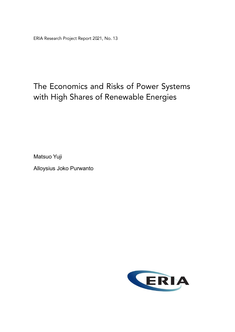ERIA Research Project Report 2021, No. 13

## The Economics and Risks of Power Systems with High Shares of Renewable Energies

Matsuo Yuji

Alloysius Joko Purwanto